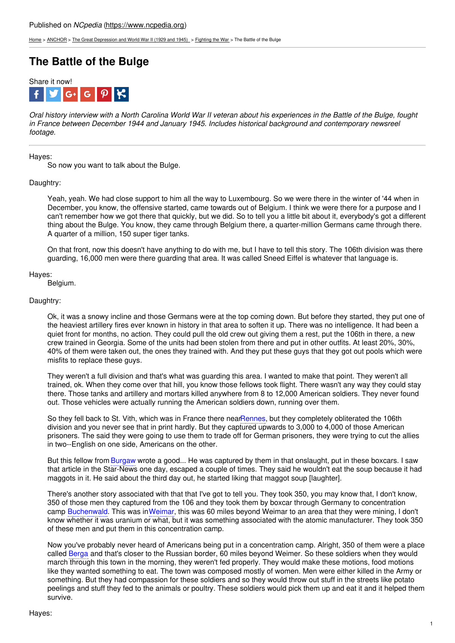[Home](https://www.ncpedia.org/) > [ANCHOR](https://www.ncpedia.org/anchor/anchor) > The Great [Depression](https://www.ncpedia.org/anchor/great-depression-and-world) and World War II (1929 and 1945) > [Fighting](https://www.ncpedia.org/anchor/fighting-war) the War > The Battle of the Bulge

# **The Battle of the Bulge**



Oral history interview with a North Carolina World War II veteran about his experiences in the Battle of the Bulge, fought *in France between December 1944 and January 1945. Includes historical background and contemporary newsreel footage.*

## Hayes:

So now you want to talk about the Bulge.

## Daughtry:

Yeah, yeah. We had close support to him all the way to Luxembourg. So we were there in the winter of '44 when in December, you know, the offensive [started,](http://www.social9.com) came towards out of Belgium. I think we were there for a purpose and I can't remember how we got there that quickly, but we did. So to tell you a little bit about it, everybody's got a different thing about the Bulge. You know, they came through Belgium there, a quarter-million Germans came through there. A quarter of a million, 150 super tiger tanks.

On that front, now this doesn't have anything to do with me, but I have to tell this story. The 106th division was there guarding, 16,000 men were there guarding that area. It was called Sneed Eiffel is whatever that language is.

#### Hayes:

Belgium.

## Daughtry:

Ok, it was a snowy incline and those Germans were at the top coming down. But before they started, they put one of the heaviest artillery fires ever known in history in that area to soften it up. There was no intelligence. It had been a quiet front for months, no action. They could pull the old crew out giving them a rest, put the 106th in there, a new crew trained in Georgia. Some of the units had been stolen from there and put in other outfits. At least 20%, 30%, 40% of them were taken out, the ones they trained with. And they put these guys that they got out pools which were misfits to replace these guys.

They weren't a full division and that's what was guarding this area. I wanted to make that point. They weren't all trained, ok. When they come over that hill, you know those fellows took flight. There wasn't any way they could stay there. Those tanks and artillery and mortars killed anywhere from 8 to 12,000 American soldiers. They never found out. Those vehicles were actually running the American soldiers down, running over them.

So they fell back to St. Vith, which was in France there nearRennes, but they completely obliterated the 106th division and you never see that in print hardly. But they captured upwards to 3,000 to 4,000 of those American prisoners. The said they were going to use them to trade off for German prisoners, they were trying to cut the allies in two--English on one side, Americans on the other.

But this fellow from Burgaw wrote a good... He was captured by them in that onslaught, put in these boxcars. I saw that article in the Star-News one day, escaped a couple of times. They said he wouldn't eat the soup because it had maggots in it. He said about the third day out, he started liking that maggot soup [laughter].

There's another story associated with that that I've got to tell you. They took 350, you may know that, I don't know, 350 of those men they captured from the 106 and they took them by boxcar through Germany to concentration camp Buchenwald. This was inWeimar, this was 60 miles beyond Weimar to an area that they were mining, I don't know whether it was uranium or what, but it was something associated with the atomic manufacturer. They took 350 of these men and put them in this concentration camp.

Now you've probably never heard of Americans being put in a concentration camp. Alright, 350 of them were a place called Berga and that's closer to the Russian border, 60 miles beyond Weimer. So these soldiers when they would march through this town in the morning, they weren't fed properly. They would make these motions, food motions like they wanted something to eat. The town was composed mostly of women. Men were either killed in the Army or something. But they had compassion for these soldiers and so they would throw out stuff in the streets like potato peelings and stuff they fed to the animals or poultry. These soldiers would pick them up and eat it and it helped them survive.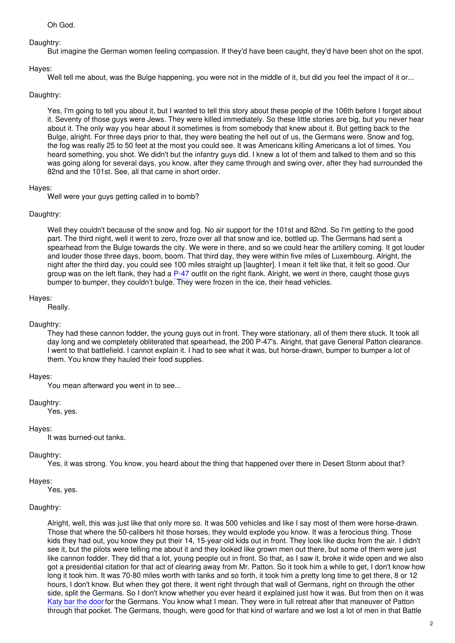## Daughtry:

But imagine the German women feeling compassion. If they'd have been caught, they'd have been shot on the spot.

## Hayes:

Well tell me about, was the Bulge happening, you were not in the middle of it, but did you feel the impact of it or...

## Daughtry:

Yes, I'm going to tell you about it, but I wanted to tell this story about these people of the 106th before I forget about it. Seventy of those guys were Jews. They were killed immediately. So these little stories are big, but you never hear about it. The only way you hear about it sometimes is from somebody that knew about it. But getting back to the Bulge, alright. For three days prior to that, they were beating the hell out of us, the Germans were. Snow and fog, the fog was really 25 to 50 feet at the most you could see. It was Americans killing Americans a lot of times. You heard something, you shot. We didn't but the infantry guys did. I knew a lot of them and talked to them and so this was going along for several days, you know, after they came through and swing over, after they had surrounded the 82nd and the 101st. See, all that came in short order.

## Hayes:

Well were your guys getting called in to bomb?

## Daughtry:

Well they couldn't because of the snow and fog. No air support for the 101st and 82nd. So I'm getting to the good part. The third night, well it went to zero, froze over all that snow and ice, bottled up. The Germans had sent a spearhead from the Bulge towards the city. We were in there, and so we could hear the artillery coming. It got louder and louder those three days, boom, boom. That third day, they were within five miles of Luxembourg. Alright, the night after the third day, you could see 100 miles straight up [laughter]. I mean it felt like that, it felt so good. Our group was on the left flank, they had a P-47 outfit on the right flank. Alright, we went in there, caught those guys bumper to bumper, they couldn't bulge. They were frozen in the ice, their head vehicles.

## Hayes:

Really.

## Daughtry:

They had these cannon fodder, the young guys out in front. They were stationary, all of them there stuck. It took all day long and we completely obliterated that spearhead, the 200 P-47's. Alright, that gave General Patton clearance. I went to that battlefield. I cannot explain it. I had to see what it was, but horse-drawn, bumper to bumper a lot of them. You know they hauled their food supplies.

## Hayes:

You mean afterward you went in to see...

Daughtry:

Yes, yes.

## Hayes:

It was burned-out tanks.

## Daughtry:

Yes, it was strong. You know, you heard about the thing that happened over there in Desert Storm about that?

## Hayes:

Yes, yes.

## Daughtry:

Alright, well, this was just like that only more so. It was 500 vehicles and like I say most of them were horse-drawn. Those that where the 50-calibers hit those horses, they would explode you know. It was a ferocious thing. Those kids they had out, you know they put their 14, 15-year-old kids out in front. They look like ducks from the air. I didn't see it, but the pilots were telling me about it and they looked like grown men out there, but some of them were just like cannon fodder. They did that a lot, young people out in front. So that, as I saw it, broke it wide open and we also got a presidential citation for that act of clearing away from Mr. Patton. So it took him a while to get, I don't know how long it took him. It was 70-80 miles worth with tanks and so forth, it took him a pretty long time to get there, 8 or 12 hours, I don't know. But when they got there, it went right through that wall of Germans, right on through the other side, split the Germans. So I don't know whether you ever heard it explained just how it was. But from then on it was Katy bar the door for the Germans. You know what I mean. They were in full retreat after that maneuver of Patton through that pocket. The Germans, though, were good for that kind of warfare and we lost a lot of men in that Battle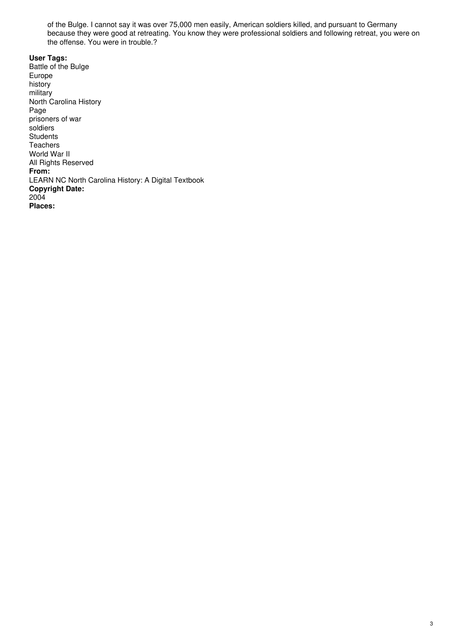of the Bulge. I cannot say it was over 75,000 men easily, American soldiers killed, and pursuant to Germany because they were good at retreating. You know they were professional soldiers and following retreat, you were on the offense. You were in trouble.?

**User Tags:** Battle of the Bulge Europe history military North Carolina History Page prisoners of war soldiers **Students Teachers** World War II All Rights Reserved **From:** LEARN NC North Carolina History: A Digital Textbook **Copyright Date:** 2004 **Places:**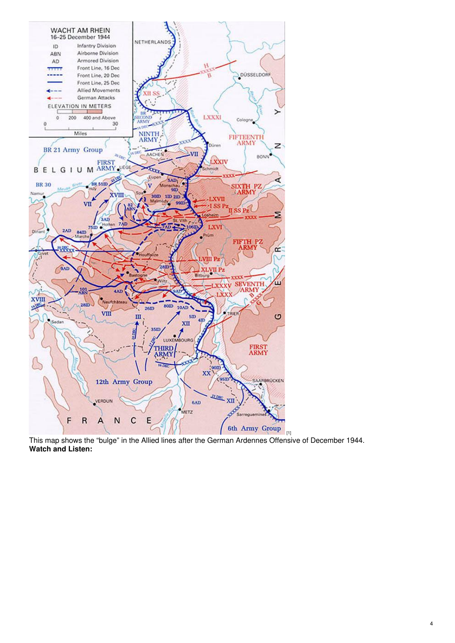

This map shows the "bulge" in the Allied lines after the German Ardennes Offensive of December 1944. **Watch and Listen:**